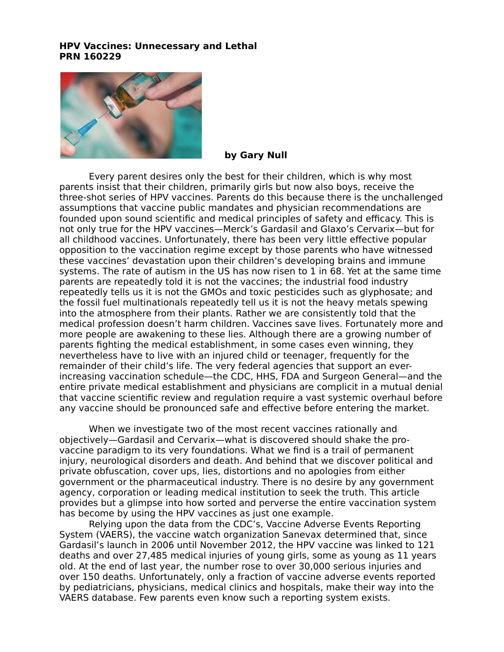# **HPV Vaccines: Unnecessary and Lethal PRN 160229**



#### **by Gary Null**

Every parent desires only the best for their children, which is why most parents insist that their children, primarily girls but now also boys, receive the three-shot series of HPV vaccines. Parents do this because there is the unchallenged assumptions that vaccine public mandates and physician recommendations are founded upon sound scientific and medical principles of safety and efficacy. This is not only true for the HPV vaccines—Merck's Gardasil and Glaxo's Cervarix—but for all childhood vaccines. Unfortunately, there has been very little effective popular opposition to the vaccination regime except by those parents who have witnessed these vaccines' devastation upon their children's developing brains and immune systems. The rate of autism in the US has now risen to 1 in 68. Yet at the same time parents are repeatedly told it is not the vaccines; the industrial food industry repeatedly tells us it is not the GMOs and toxic pesticides such as glyphosate; and the fossil fuel multinationals repeatedly tell us it is not the heavy metals spewing into the atmosphere from their plants. Rather we are consistently told that the medical profession doesn't harm children. Vaccines save lives. Fortunately more and more people are awakening to these lies. Although there are a growing number of parents fighting the medical establishment, in some cases even winning, they nevertheless have to live with an injured child or teenager, frequently for the remainder of their child's life. The very federal agencies that support an everincreasing vaccination schedule—the CDC, HHS, FDA and Surgeon General—and the entire private medical establishment and physicians are complicit in a mutual denial that vaccine scientific review and regulation require a vast systemic overhaul before any vaccine should be pronounced safe and effective before entering the market.

When we investigate two of the most recent vaccines rationally and objectively—Gardasil and Cervarix—what is discovered should shake the provaccine paradigm to its very foundations. What we find is a trail of permanent injury, neurological disorders and death. And behind that we discover political and private obfuscation, cover ups, lies, distortions and no apologies from either government or the pharmaceutical industry. There is no desire by any government agency, corporation or leading medical institution to seek the truth. This article provides but a glimpse into how sorted and perverse the entire vaccination system has become by using the HPV vaccines as just one example.

Relying upon the data from the CDC's, Vaccine Adverse Events Reporting System (VAERS), the vaccine watch organization Sanevax determined that, since Gardasil's launch in 2006 until November 2012, the HPV vaccine was linked to 121 deaths and over 27,485 medical injuries of young girls, some as young as 11 years old. At the end of last year, the number rose to over 30,000 serious injuries and over 150 deaths. Unfortunately, only a fraction of vaccine adverse events reported by pediatricians, physicians, medical clinics and hospitals, make their way into the VAERS database. Few parents even know such a reporting system exists.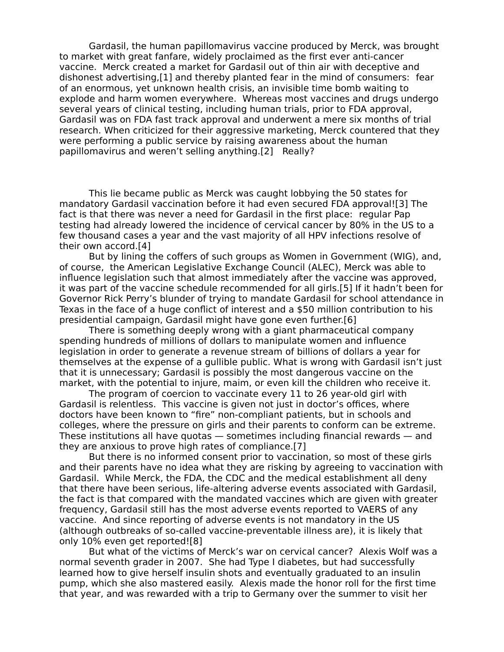Gardasil, the human papillomavirus vaccine produced by Merck, was brought to market with great fanfare, widely proclaimed as the first ever anti-cancer vaccine. Merck created a market for Gardasil out of thin air with deceptive and dishonest advertising,[1] and thereby planted fear in the mind of consumers: fear of an enormous, yet unknown health crisis, an invisible time bomb waiting to explode and harm women everywhere. Whereas most vaccines and drugs undergo several years of clinical testing, including human trials, prior to FDA approval, Gardasil was on FDA fast track approval and underwent a mere six months of trial research. When criticized for their aggressive marketing, Merck countered that they were performing a public service by raising awareness about the human papillomavirus and weren't selling anything.[2] Really?

This lie became public as Merck was caught lobbying the 50 states for mandatory Gardasil vaccination before it had even secured FDA approval![3] The fact is that there was never a need for Gardasil in the first place: regular Pap testing had already lowered the incidence of cervical cancer by 80% in the US to a few thousand cases a year and the vast majority of all HPV infections resolve of their own accord.[4]

But by lining the coffers of such groups as Women in Government (WIG), and, of course, the American Legislative Exchange Council (ALEC), Merck was able to influence legislation such that almost immediately after the vaccine was approved, it was part of the vaccine schedule recommended for all girls.[5] If it hadn't been for Governor Rick Perry's blunder of trying to mandate Gardasil for school attendance in Texas in the face of a huge conflict of interest and a \$50 million contribution to his presidential campaign, Gardasil might have gone even further.[6]

There is something deeply wrong with a giant pharmaceutical company spending hundreds of millions of dollars to manipulate women and influence legislation in order to generate a revenue stream of billions of dollars a year for themselves at the expense of a gullible public. What is wrong with Gardasil isn't just that it is unnecessary; Gardasil is possibly the most dangerous vaccine on the market, with the potential to injure, maim, or even kill the children who receive it.

The program of coercion to vaccinate every 11 to 26 year-old girl with Gardasil is relentless. This vaccine is given not just in doctor's offices, where doctors have been known to "fire" non-compliant patients, but in schools and colleges, where the pressure on girls and their parents to conform can be extreme. These institutions all have quotas — sometimes including financial rewards — and they are anxious to prove high rates of compliance.[7]

But there is no informed consent prior to vaccination, so most of these girls and their parents have no idea what they are risking by agreeing to vaccination with Gardasil. While Merck, the FDA, the CDC and the medical establishment all deny that there have been serious, life-altering adverse events associated with Gardasil, the fact is that compared with the mandated vaccines which are given with greater frequency, Gardasil still has the most adverse events reported to VAERS of any vaccine. And since reporting of adverse events is not mandatory in the US (although outbreaks of so-called vaccine-preventable illness are), it is likely that only 10% even get reported![8]

But what of the victims of Merck's war on cervical cancer? Alexis Wolf was a normal seventh grader in 2007. She had Type I diabetes, but had successfully learned how to give herself insulin shots and eventually graduated to an insulin pump, which she also mastered easily. Alexis made the honor roll for the first time that year, and was rewarded with a trip to Germany over the summer to visit her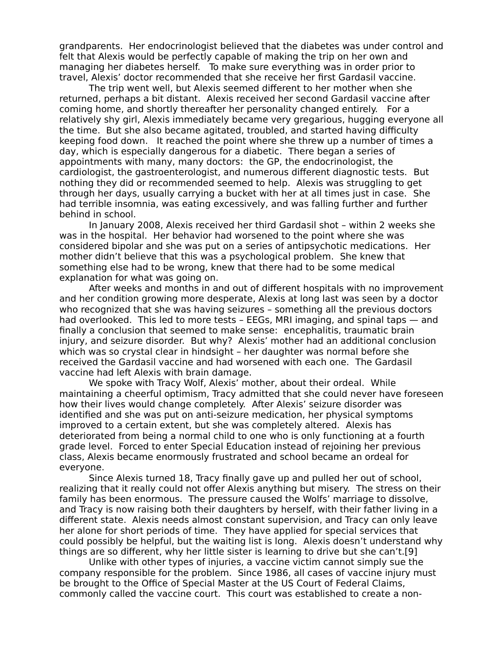grandparents. Her endocrinologist believed that the diabetes was under control and felt that Alexis would be perfectly capable of making the trip on her own and managing her diabetes herself. To make sure everything was in order prior to travel, Alexis' doctor recommended that she receive her first Gardasil vaccine.

The trip went well, but Alexis seemed different to her mother when she returned, perhaps a bit distant. Alexis received her second Gardasil vaccine after coming home, and shortly thereafter her personality changed entirely. For a relatively shy girl, Alexis immediately became very gregarious, hugging everyone all the time. But she also became agitated, troubled, and started having difficulty keeping food down. It reached the point where she threw up a number of times a day, which is especially dangerous for a diabetic. There began a series of appointments with many, many doctors: the GP, the endocrinologist, the cardiologist, the gastroenterologist, and numerous different diagnostic tests. But nothing they did or recommended seemed to help. Alexis was struggling to get through her days, usually carrying a bucket with her at all times just in case. She had terrible insomnia, was eating excessively, and was falling further and further behind in school.

In January 2008, Alexis received her third Gardasil shot – within 2 weeks she was in the hospital. Her behavior had worsened to the point where she was considered bipolar and she was put on a series of antipsychotic medications. Her mother didn't believe that this was a psychological problem. She knew that something else had to be wrong, knew that there had to be some medical explanation for what was going on.

After weeks and months in and out of different hospitals with no improvement and her condition growing more desperate, Alexis at long last was seen by a doctor who recognized that she was having seizures – something all the previous doctors had overlooked. This led to more tests – EEGs, MRI imaging, and spinal taps — and finally a conclusion that seemed to make sense: encephalitis, traumatic brain injury, and seizure disorder. But why? Alexis' mother had an additional conclusion which was so crystal clear in hindsight – her daughter was normal before she received the Gardasil vaccine and had worsened with each one. The Gardasil vaccine had left Alexis with brain damage.

We spoke with Tracy Wolf, Alexis' mother, about their ordeal. While maintaining a cheerful optimism, Tracy admitted that she could never have foreseen how their lives would change completely. After Alexis' seizure disorder was identified and she was put on anti-seizure medication, her physical symptoms improved to a certain extent, but she was completely altered. Alexis has deteriorated from being a normal child to one who is only functioning at a fourth grade level. Forced to enter Special Education instead of rejoining her previous class, Alexis became enormously frustrated and school became an ordeal for everyone.

Since Alexis turned 18, Tracy finally gave up and pulled her out of school, realizing that it really could not offer Alexis anything but misery. The stress on their family has been enormous. The pressure caused the Wolfs' marriage to dissolve, and Tracy is now raising both their daughters by herself, with their father living in a different state. Alexis needs almost constant supervision, and Tracy can only leave her alone for short periods of time. They have applied for special services that could possibly be helpful, but the waiting list is long. Alexis doesn't understand why things are so different, why her little sister is learning to drive but she can't.[9]

Unlike with other types of injuries, a vaccine victim cannot simply sue the company responsible for the problem. Since 1986, all cases of vaccine injury must be brought to the Office of Special Master at the US Court of Federal Claims, commonly called the vaccine court. This court was established to create a non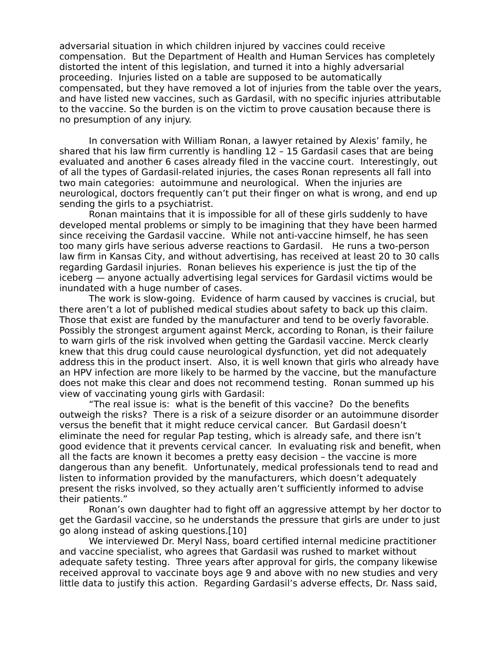adversarial situation in which children injured by vaccines could receive compensation. But the Department of Health and Human Services has completely distorted the intent of this legislation, and turned it into a highly adversarial proceeding. Injuries listed on a table are supposed to be automatically compensated, but they have removed a lot of injuries from the table over the years, and have listed new vaccines, such as Gardasil, with no specific injuries attributable to the vaccine. So the burden is on the victim to prove causation because there is no presumption of any injury.

In conversation with William Ronan, a lawyer retained by Alexis' family, he shared that his law firm currently is handling 12 – 15 Gardasil cases that are being evaluated and another 6 cases already filed in the vaccine court. Interestingly, out of all the types of Gardasil-related injuries, the cases Ronan represents all fall into two main categories: autoimmune and neurological. When the injuries are neurological, doctors frequently can't put their finger on what is wrong, and end up sending the girls to a psychiatrist.

Ronan maintains that it is impossible for all of these girls suddenly to have developed mental problems or simply to be imagining that they have been harmed since receiving the Gardasil vaccine. While not anti-vaccine himself, he has seen too many girls have serious adverse reactions to Gardasil. He runs a two-person law firm in Kansas City, and without advertising, has received at least 20 to 30 calls regarding Gardasil injuries. Ronan believes his experience is just the tip of the iceberg — anyone actually advertising legal services for Gardasil victims would be inundated with a huge number of cases.

The work is slow-going. Evidence of harm caused by vaccines is crucial, but there aren't a lot of published medical studies about safety to back up this claim. Those that exist are funded by the manufacturer and tend to be overly favorable. Possibly the strongest argument against Merck, according to Ronan, is their failure to warn girls of the risk involved when getting the Gardasil vaccine. Merck clearly knew that this drug could cause neurological dysfunction, yet did not adequately address this in the product insert. Also, it is well known that girls who already have an HPV infection are more likely to be harmed by the vaccine, but the manufacture does not make this clear and does not recommend testing. Ronan summed up his view of vaccinating young girls with Gardasil:

"The real issue is: what is the benefit of this vaccine? Do the benefits outweigh the risks? There is a risk of a seizure disorder or an autoimmune disorder versus the benefit that it might reduce cervical cancer. But Gardasil doesn't eliminate the need for regular Pap testing, which is already safe, and there isn't good evidence that it prevents cervical cancer. In evaluating risk and benefit, when all the facts are known it becomes a pretty easy decision – the vaccine is more dangerous than any benefit. Unfortunately, medical professionals tend to read and listen to information provided by the manufacturers, which doesn't adequately present the risks involved, so they actually aren't sufficiently informed to advise their patients."

Ronan's own daughter had to fight off an aggressive attempt by her doctor to get the Gardasil vaccine, so he understands the pressure that girls are under to just go along instead of asking questions.[10]

We interviewed Dr. Meryl Nass, board certified internal medicine practitioner and vaccine specialist, who agrees that Gardasil was rushed to market without adequate safety testing. Three years after approval for girls, the company likewise received approval to vaccinate boys age 9 and above with no new studies and very little data to justify this action. Regarding Gardasil's adverse effects, Dr. Nass said,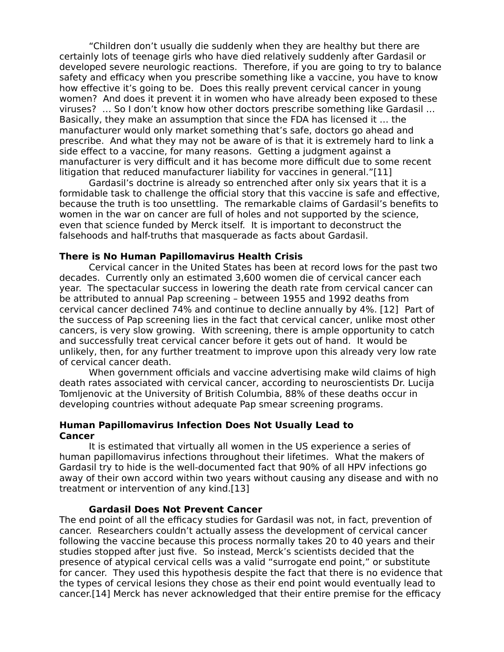"Children don't usually die suddenly when they are healthy but there are certainly lots of teenage girls who have died relatively suddenly after Gardasil or developed severe neurologic reactions. Therefore, if you are going to try to balance safety and efficacy when you prescribe something like a vaccine, you have to know how effective it's going to be. Does this really prevent cervical cancer in young women? And does it prevent it in women who have already been exposed to these viruses? … So I don't know how other doctors prescribe something like Gardasil … Basically, they make an assumption that since the FDA has licensed it … the manufacturer would only market something that's safe, doctors go ahead and prescribe. And what they may not be aware of is that it is extremely hard to link a side effect to a vaccine, for many reasons. Getting a judgment against a manufacturer is very difficult and it has become more difficult due to some recent litigation that reduced manufacturer liability for vaccines in general."[11]

Gardasil's doctrine is already so entrenched after only six years that it is a formidable task to challenge the official story that this vaccine is safe and effective, because the truth is too unsettling. The remarkable claims of Gardasil's benefits to women in the war on cancer are full of holes and not supported by the science, even that science funded by Merck itself. It is important to deconstruct the falsehoods and half-truths that masquerade as facts about Gardasil.

## **There is No Human Papillomavirus Health Crisis**

Cervical cancer in the United States has been at record lows for the past two decades. Currently only an estimated 3,600 women die of cervical cancer each year. The spectacular success in lowering the death rate from cervical cancer can be attributed to annual Pap screening – between 1955 and 1992 deaths from cervical cancer declined 74% and continue to decline annually by 4%. [12] Part of the success of Pap screening lies in the fact that cervical cancer, unlike most other cancers, is very slow growing. With screening, there is ample opportunity to catch and successfully treat cervical cancer before it gets out of hand. It would be unlikely, then, for any further treatment to improve upon this already very low rate of cervical cancer death.

When government officials and vaccine advertising make wild claims of high death rates associated with cervical cancer, according to neuroscientists Dr. Lucija Tomljenovic at the University of British Columbia, 88% of these deaths occur in developing countries without adequate Pap smear screening programs.

## **Human Papillomavirus Infection Does Not Usually Lead to Cancer**

It is estimated that virtually all women in the US experience a series of human papillomavirus infections throughout their lifetimes. What the makers of Gardasil try to hide is the well-documented fact that 90% of all HPV infections go away of their own accord within two years without causing any disease and with no treatment or intervention of any kind.[13]

#### **Gardasil Does Not Prevent Cancer**

The end point of all the efficacy studies for Gardasil was not, in fact, prevention of cancer. Researchers couldn't actually assess the development of cervical cancer following the vaccine because this process normally takes 20 to 40 years and their studies stopped after just five. So instead, Merck's scientists decided that the presence of atypical cervical cells was a valid "surrogate end point," or substitute for cancer. They used this hypothesis despite the fact that there is no evidence that the types of cervical lesions they chose as their end point would eventually lead to cancer.[14] Merck has never acknowledged that their entire premise for the efficacy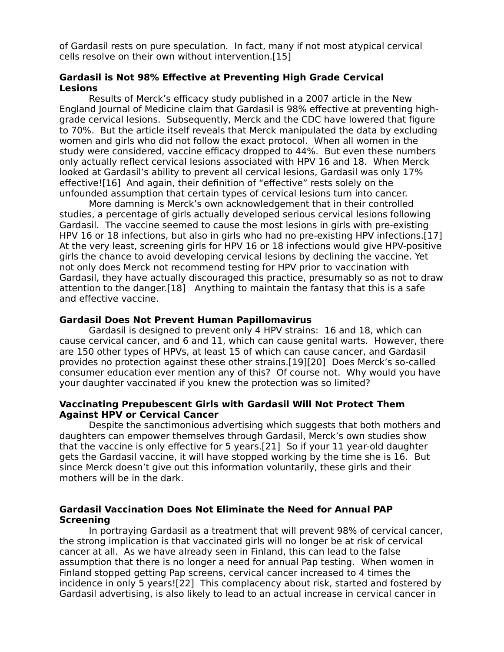of Gardasil rests on pure speculation. In fact, many if not most atypical cervical cells resolve on their own without intervention.[15]

# **Gardasil is Not 98% Effective at Preventing High Grade Cervical Lesions**

Results of Merck's efficacy study published in a 2007 article in the New England Journal of Medicine claim that Gardasil is 98% effective at preventing highgrade cervical lesions. Subsequently, Merck and the CDC have lowered that figure to 70%. But the article itself reveals that Merck manipulated the data by excluding women and girls who did not follow the exact protocol. When all women in the study were considered, vaccine efficacy dropped to 44%. But even these numbers only actually reflect cervical lesions associated with HPV 16 and 18. When Merck looked at Gardasil's ability to prevent all cervical lesions, Gardasil was only 17% effective![16] And again, their definition of "effective" rests solely on the unfounded assumption that certain types of cervical lesions turn into cancer.

More damning is Merck's own acknowledgement that in their controlled studies, a percentage of girls actually developed serious cervical lesions following Gardasil. The vaccine seemed to cause the most lesions in girls with pre-existing HPV 16 or 18 infections, but also in girls who had no pre-existing HPV infections.[17] At the very least, screening girls for HPV 16 or 18 infections would give HPV-positive girls the chance to avoid developing cervical lesions by declining the vaccine. Yet not only does Merck not recommend testing for HPV prior to vaccination with Gardasil, they have actually discouraged this practice, presumably so as not to draw attention to the danger.[18] Anything to maintain the fantasy that this is a safe and effective vaccine.

## **Gardasil Does Not Prevent Human Papillomavirus**

Gardasil is designed to prevent only 4 HPV strains: 16 and 18, which can cause cervical cancer, and 6 and 11, which can cause genital warts. However, there are 150 other types of HPVs, at least 15 of which can cause cancer, and Gardasil provides no protection against these other strains.[19][20] Does Merck's so-called consumer education ever mention any of this? Of course not. Why would you have your daughter vaccinated if you knew the protection was so limited?

## **Vaccinating Prepubescent Girls with Gardasil Will Not Protect Them Against HPV or Cervical Cancer**

Despite the sanctimonious advertising which suggests that both mothers and daughters can empower themselves through Gardasil, Merck's own studies show that the vaccine is only effective for 5 years.[21] So if your 11 year-old daughter gets the Gardasil vaccine, it will have stopped working by the time she is 16. But since Merck doesn't give out this information voluntarily, these girls and their mothers will be in the dark.

# **Gardasil Vaccination Does Not Eliminate the Need for Annual PAP Screening**

In portraying Gardasil as a treatment that will prevent 98% of cervical cancer, the strong implication is that vaccinated girls will no longer be at risk of cervical cancer at all. As we have already seen in Finland, this can lead to the false assumption that there is no longer a need for annual Pap testing. When women in Finland stopped getting Pap screens, cervical cancer increased to 4 times the incidence in only 5 years![22] This complacency about risk, started and fostered by Gardasil advertising, is also likely to lead to an actual increase in cervical cancer in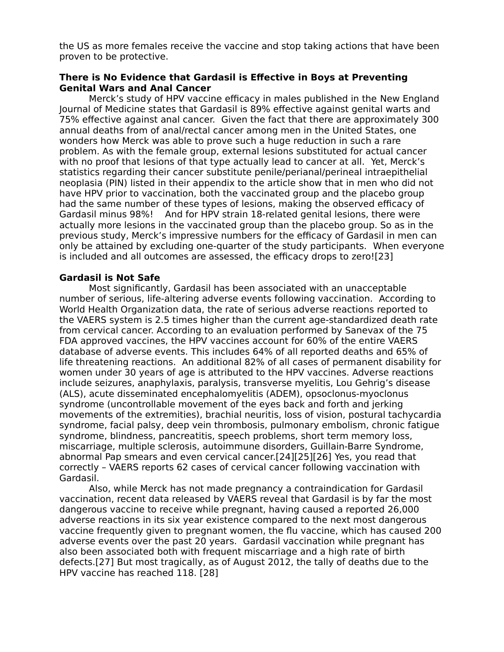the US as more females receive the vaccine and stop taking actions that have been proven to be protective.

# **There is No Evidence that Gardasil is Effective in Boys at Preventing Genital Wars and Anal Cancer**

Merck's study of HPV vaccine efficacy in males published in the New England Journal of Medicine states that Gardasil is 89% effective against genital warts and 75% effective against anal cancer. Given the fact that there are approximately 300 annual deaths from of anal/rectal cancer among men in the United States, one wonders how Merck was able to prove such a huge reduction in such a rare problem. As with the female group, external lesions substituted for actual cancer with no proof that lesions of that type actually lead to cancer at all. Yet, Merck's statistics regarding their cancer substitute penile/perianal/perineal intraepithelial neoplasia (PIN) listed in their appendix to the article show that in men who did not have HPV prior to vaccination, both the vaccinated group and the placebo group had the same number of these types of lesions, making the observed efficacy of Gardasil minus 98%! And for HPV strain 18-related genital lesions, there were actually more lesions in the vaccinated group than the placebo group. So as in the previous study, Merck's impressive numbers for the efficacy of Gardasil in men can only be attained by excluding one-quarter of the study participants. When everyone is included and all outcomes are assessed, the efficacy drops to zero![23]

# **Gardasil is Not Safe**

Most significantly, Gardasil has been associated with an unacceptable number of serious, life-altering adverse events following vaccination. According to World Health Organization data, the rate of serious adverse reactions reported to the VAERS system is 2.5 times higher than the current age-standardized death rate from cervical cancer. According to an evaluation performed by Sanevax of the 75 FDA approved vaccines, the HPV vaccines account for 60% of the entire VAERS database of adverse events. This includes 64% of all reported deaths and 65% of life threatening reactions. An additional 82% of all cases of permanent disability for women under 30 years of age is attributed to the HPV vaccines. Adverse reactions include seizures, anaphylaxis, paralysis, transverse myelitis, Lou Gehrig's disease (ALS), acute disseminated encephalomyelitis (ADEM), opsoclonus-myoclonus syndrome (uncontrollable movement of the eyes back and forth and jerking movements of the extremities), brachial neuritis, loss of vision, postural tachycardia syndrome, facial palsy, deep vein thrombosis, pulmonary embolism, chronic fatigue syndrome, blindness, pancreatitis, speech problems, short term memory loss, miscarriage, multiple sclerosis, autoimmune disorders, Guillain-Barre Syndrome, abnormal Pap smears and even cervical cancer.[24][25][26] Yes, you read that correctly – VAERS reports 62 cases of cervical cancer following vaccination with Gardasil.

Also, while Merck has not made pregnancy a contraindication for Gardasil vaccination, recent data released by VAERS reveal that Gardasil is by far the most dangerous vaccine to receive while pregnant, having caused a reported 26,000 adverse reactions in its six year existence compared to the next most dangerous vaccine frequently given to pregnant women, the flu vaccine, which has caused 200 adverse events over the past 20 years. Gardasil vaccination while pregnant has also been associated both with frequent miscarriage and a high rate of birth defects.[27] But most tragically, as of August 2012, the tally of deaths due to the HPV vaccine has reached 118. [28]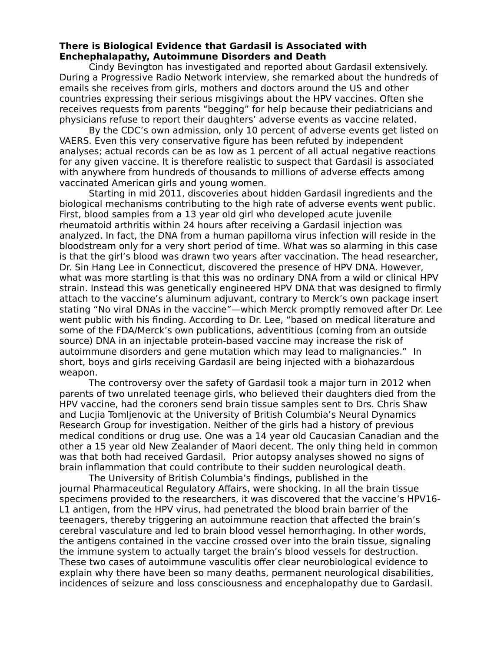# **There is Biological Evidence that Gardasil is Associated with Enchephalapathy, Autoimmune Disorders and Death**

Cindy Bevington has investigated and reported about Gardasil extensively. During a Progressive Radio Network interview, she remarked about the hundreds of emails she receives from girls, mothers and doctors around the US and other countries expressing their serious misgivings about the HPV vaccines. Often she receives requests from parents "begging" for help because their pediatricians and physicians refuse to report their daughters' adverse events as vaccine related.

By the CDC's own admission, only 10 percent of adverse events get listed on VAERS. Even this very conservative figure has been refuted by independent analyses; actual records can be as low as 1 percent of all actual negative reactions for any given vaccine. It is therefore realistic to suspect that Gardasil is associated with anywhere from hundreds of thousands to millions of adverse effects among vaccinated American girls and young women.

Starting in mid 2011, discoveries about hidden Gardasil ingredients and the biological mechanisms contributing to the high rate of adverse events went public. First, blood samples from a 13 year old girl who developed acute juvenile rheumatoid arthritis within 24 hours after receiving a Gardasil injection was analyzed. In fact, the DNA from a human papilloma virus infection will reside in the bloodstream only for a very short period of time. What was so alarming in this case is that the girl's blood was drawn two years after vaccination. The head researcher, Dr. Sin Hang Lee in Connecticut, discovered the presence of HPV DNA. However, what was more startling is that this was no ordinary DNA from a wild or clinical HPV strain. Instead this was genetically engineered HPV DNA that was designed to firmly attach to the vaccine's aluminum adjuvant, contrary to Merck's own package insert stating "No viral DNAs in the vaccine"—which Merck promptly removed after Dr. Lee went public with his finding. According to Dr. Lee, "based on medical literature and some of the FDA/Merck's own publications, adventitious (coming from an outside source) DNA in an injectable protein-based vaccine may increase the risk of autoimmune disorders and gene mutation which may lead to malignancies." In short, boys and girls receiving Gardasil are being injected with a biohazardous weapon.

The controversy over the safety of Gardasil took a major turn in 2012 when parents of two unrelated teenage girls, who believed their daughters died from the HPV vaccine, had the coroners send brain tissue samples sent to Drs. Chris Shaw and Lucjia Tomljenovic at the University of British Columbia's Neural Dynamics Research Group for investigation. Neither of the girls had a history of previous medical conditions or drug use. One was a 14 year old Caucasian Canadian and the other a 15 year old New Zealander of Maori decent. The only thing held in common was that both had received Gardasil. Prior autopsy analyses showed no signs of brain inflammation that could contribute to their sudden neurological death.

The University of British Columbia's findings, published in the journal Pharmaceutical Regulatory Affairs, were shocking. In all the brain tissue specimens provided to the researchers, it was discovered that the vaccine's HPV16- L1 antigen, from the HPV virus, had penetrated the blood brain barrier of the teenagers, thereby triggering an autoimmune reaction that affected the brain's cerebral vasculature and led to brain blood vessel hemorrhaging. In other words, the antigens contained in the vaccine crossed over into the brain tissue, signaling the immune system to actually target the brain's blood vessels for destruction. These two cases of autoimmune vasculitis offer clear neurobiological evidence to explain why there have been so many deaths, permanent neurological disabilities, incidences of seizure and loss consciousness and encephalopathy due to Gardasil.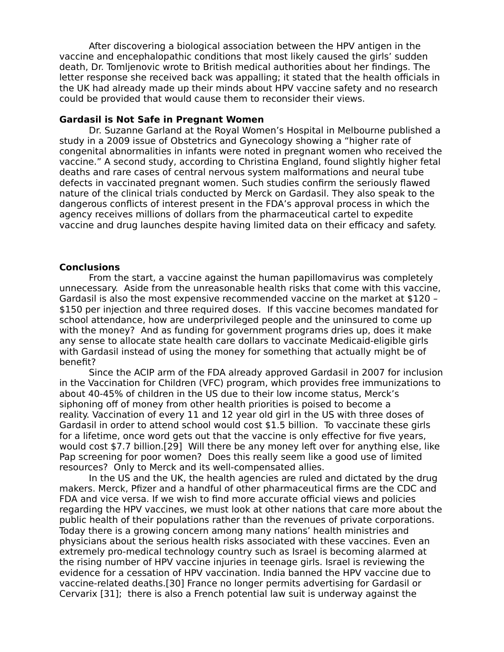After discovering a biological association between the HPV antigen in the vaccine and encephalopathic conditions that most likely caused the girls' sudden death, Dr. Tomljenovic wrote to British medical authorities about her findings. The letter response she received back was appalling; it stated that the health officials in the UK had already made up their minds about HPV vaccine safety and no research could be provided that would cause them to reconsider their views.

## **Gardasil is Not Safe in Pregnant Women**

Dr. Suzanne Garland at the Royal Women's Hospital in Melbourne published a study in a 2009 issue of Obstetrics and Gynecology showing a "higher rate of congenital abnormalities in infants were noted in pregnant women who received the vaccine." A second study, according to Christina England, found slightly higher fetal deaths and rare cases of central nervous system malformations and neural tube defects in vaccinated pregnant women. Such studies confirm the seriously flawed nature of the clinical trials conducted by Merck on Gardasil. They also speak to the dangerous conflicts of interest present in the FDA's approval process in which the agency receives millions of dollars from the pharmaceutical cartel to expedite vaccine and drug launches despite having limited data on their efficacy and safety.

### **Conclusions**

From the start, a vaccine against the human papillomavirus was completely unnecessary. Aside from the unreasonable health risks that come with this vaccine, Gardasil is also the most expensive recommended vaccine on the market at \$120 – \$150 per injection and three required doses. If this vaccine becomes mandated for school attendance, how are underprivileged people and the uninsured to come up with the money? And as funding for government programs dries up, does it make any sense to allocate state health care dollars to vaccinate Medicaid-eligible girls with Gardasil instead of using the money for something that actually might be of benefit?

Since the ACIP arm of the FDA already approved Gardasil in 2007 for inclusion in the Vaccination for Children (VFC) program, which provides free immunizations to about 40-45% of children in the US due to their low income status, Merck's siphoning off of money from other health priorities is poised to become a reality. Vaccination of every 11 and 12 year old girl in the US with three doses of Gardasil in order to attend school would cost \$1.5 billion. To vaccinate these girls for a lifetime, once word gets out that the vaccine is only effective for five years, would cost \$7.7 billion.[29] Will there be any money left over for anything else, like Pap screening for poor women? Does this really seem like a good use of limited resources? Only to Merck and its well-compensated allies.

In the US and the UK, the health agencies are ruled and dictated by the drug makers. Merck, Pfizer and a handful of other pharmaceutical firms are the CDC and FDA and vice versa. If we wish to find more accurate official views and policies regarding the HPV vaccines, we must look at other nations that care more about the public health of their populations rather than the revenues of private corporations. Today there is a growing concern among many nations' health ministries and physicians about the serious health risks associated with these vaccines. Even an extremely pro-medical technology country such as Israel is becoming alarmed at the rising number of HPV vaccine injuries in teenage girls. Israel is reviewing the evidence for a cessation of HPV vaccination. India banned the HPV vaccine due to vaccine-related deaths.[30] France no longer permits advertising for Gardasil or Cervarix [31]; there is also a French potential law suit is underway against the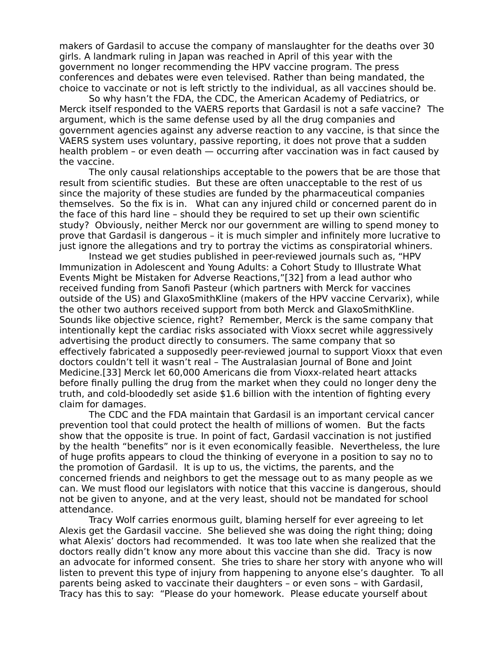makers of Gardasil to accuse the company of manslaughter for the deaths over 30 girls. A landmark ruling in Japan was reached in April of this year with the government no longer recommending the HPV vaccine program. The press conferences and debates were even televised. Rather than being mandated, the choice to vaccinate or not is left strictly to the individual, as all vaccines should be.

So why hasn't the FDA, the CDC, the American Academy of Pediatrics, or Merck itself responded to the VAERS reports that Gardasil is not a safe vaccine? The argument, which is the same defense used by all the drug companies and government agencies against any adverse reaction to any vaccine, is that since the VAERS system uses voluntary, passive reporting, it does not prove that a sudden health problem – or even death — occurring after vaccination was in fact caused by the vaccine.

The only causal relationships acceptable to the powers that be are those that result from scientific studies. But these are often unacceptable to the rest of us since the majority of these studies are funded by the pharmaceutical companies themselves. So the fix is in. What can any injured child or concerned parent do in the face of this hard line – should they be required to set up their own scientific study? Obviously, neither Merck nor our government are willing to spend money to prove that Gardasil is dangerous – it is much simpler and infinitely more lucrative to just ignore the allegations and try to portray the victims as conspiratorial whiners.

Instead we get studies published in peer-reviewed journals such as, "HPV Immunization in Adolescent and Young Adults: a Cohort Study to Illustrate What Events Might be Mistaken for Adverse Reactions,"[32] from a lead author who received funding from Sanofi Pasteur (which partners with Merck for vaccines outside of the US) and GlaxoSmithKline (makers of the HPV vaccine Cervarix), while the other two authors received support from both Merck and GlaxoSmithKline. Sounds like objective science, right? Remember, Merck is the same company that intentionally kept the cardiac risks associated with Vioxx secret while aggressively advertising the product directly to consumers. The same company that so effectively fabricated a supposedly peer-reviewed journal to support Vioxx that even doctors couldn't tell it wasn't real – The Australasian Journal of Bone and Joint Medicine.[33] Merck let 60,000 Americans die from Vioxx-related heart attacks before finally pulling the drug from the market when they could no longer deny the truth, and cold-bloodedly set aside \$1.6 billion with the intention of fighting every claim for damages.

The CDC and the FDA maintain that Gardasil is an important cervical cancer prevention tool that could protect the health of millions of women. But the facts show that the opposite is true. In point of fact, Gardasil vaccination is not justified by the health "benefits" nor is it even economically feasible. Nevertheless, the lure of huge profits appears to cloud the thinking of everyone in a position to say no to the promotion of Gardasil. It is up to us, the victims, the parents, and the concerned friends and neighbors to get the message out to as many people as we can. We must flood our legislators with notice that this vaccine is dangerous, should not be given to anyone, and at the very least, should not be mandated for school attendance.

Tracy Wolf carries enormous guilt, blaming herself for ever agreeing to let Alexis get the Gardasil vaccine. She believed she was doing the right thing; doing what Alexis' doctors had recommended. It was too late when she realized that the doctors really didn't know any more about this vaccine than she did. Tracy is now an advocate for informed consent. She tries to share her story with anyone who will listen to prevent this type of injury from happening to anyone else's daughter. To all parents being asked to vaccinate their daughters – or even sons – with Gardasil, Tracy has this to say: "Please do your homework. Please educate yourself about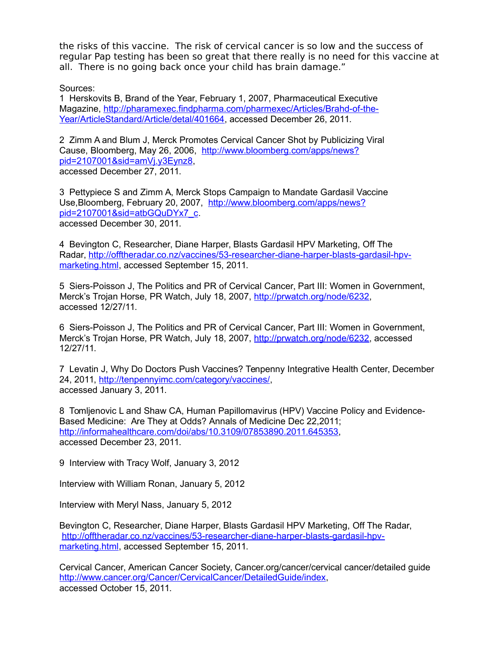the risks of this vaccine. The risk of cervical cancer is so low and the success of regular Pap testing has been so great that there really is no need for this vaccine at all. There is no going back once your child has brain damage."

Sources:

1 Herskovits B, Brand of the Year, February 1, 2007, Pharmaceutical Executive Magazine, [http://pharamexec.findpharma.com/pharmexec/Articles/Brahd-of-the-](http://pharamexec.findpharma.com/pharmexec/Articles/Brahd-of-the-Year/ArticleStandard/Article/detal/401664)[Year/ArticleStandard/Article/detal/401664,](http://pharamexec.findpharma.com/pharmexec/Articles/Brahd-of-the-Year/ArticleStandard/Article/detal/401664) accessed December 26, 2011.

2 Zimm A and Blum J, Merck Promotes Cervical Cancer Shot by Publicizing Viral Cause, Bloomberg, May 26, 2006, [http://www.bloomberg.com/apps/news?](http://www.bloomberg.com/apps/news?pid=2107001&sid=amVj.y3Eynz8) [pid=2107001&sid=amVj.y3Eynz8,](http://www.bloomberg.com/apps/news?pid=2107001&sid=amVj.y3Eynz8) accessed December 27, 2011.

3 Pettypiece S and Zimm A, Merck Stops Campaign to Mandate Gardasil Vaccine Use,Bloomberg, February 20, 2007, [http://www.bloomberg.com/apps/news?](http://www.bloomberg.com/apps/news?pid=2107001&sid=atbGQuDYx7_c) [pid=2107001&sid=atbGQuDYx7\\_c.](http://www.bloomberg.com/apps/news?pid=2107001&sid=atbGQuDYx7_c) accessed December 30, 2011.

4 Bevington C, Researcher, Diane Harper, Blasts Gardasil HPV Marketing, Off The Radar, [http://offtheradar.co.nz/vaccines/53-researcher-diane-harper-blasts-gardasil-hpv](http://offtheradar.co.nz/vaccines/53-researcher-diane-harper-blasts-gardasil-hpv-marketing.html)[marketing.html,](http://offtheradar.co.nz/vaccines/53-researcher-diane-harper-blasts-gardasil-hpv-marketing.html) accessed September 15, 2011.

5 Siers-Poisson J, The Politics and PR of Cervical Cancer, Part III: Women in Government, Merck's Trojan Horse, PR Watch, July 18, 2007, [http://prwatch.org/node/6232,](http://prwatch.org/node/6232) accessed 12/27/11.

6 Siers-Poisson J, The Politics and PR of Cervical Cancer, Part III: Women in Government, Merck's Trojan Horse, PR Watch, July 18, 2007, [http://prwatch.org/node/6232,](http://prwatch.org/node/6232) accessed 12/27/11.

7 Levatin J, Why Do Doctors Push Vaccines? Tenpenny Integrative Health Center, December 24, 2011, [http://tenpennyimc.com/category/vaccines/,](http://tenpennyimc.com/category/vaccines/) accessed January 3, 2011.

8 Tomljenovic L and Shaw CA, Human Papillomavirus (HPV) Vaccine Policy and Evidence-Based Medicine: Are They at Odds? Annals of Medicine Dec 22,2011; [http://informahealthcare.com/doi/abs/10.3109/07853890.2011.645353,](http://informahealthcare.com/doi/abs/10.3109/07853890.2011.645353) accessed December 23, 2011.

9 Interview with Tracy Wolf, January 3, 2012

Interview with William Ronan, January 5, 2012

Interview with Meryl Nass, January 5, 2012

Bevington C, Researcher, Diane Harper, Blasts Gardasil HPV Marketing, Off The Radar, [http://offtheradar.co.nz/vaccines/53-researcher-diane-harper-blasts-gardasil-hpv](http://offtheradar.co.nz/vaccines/53-researcher-diane-harper-blasts-gardasil-hpv-marketing.html)[marketing.html,](http://offtheradar.co.nz/vaccines/53-researcher-diane-harper-blasts-gardasil-hpv-marketing.html) accessed September 15, 2011.

Cervical Cancer, American Cancer Society, Cancer.org/cancer/cervical cancer/detailed guide [http://www.cancer.org/Cancer/CervicalCancer/DetailedGuide/index,](http://www.cancer.org/Cancer/CervicalCancer/DetailedGuide/index) accessed October 15, 2011.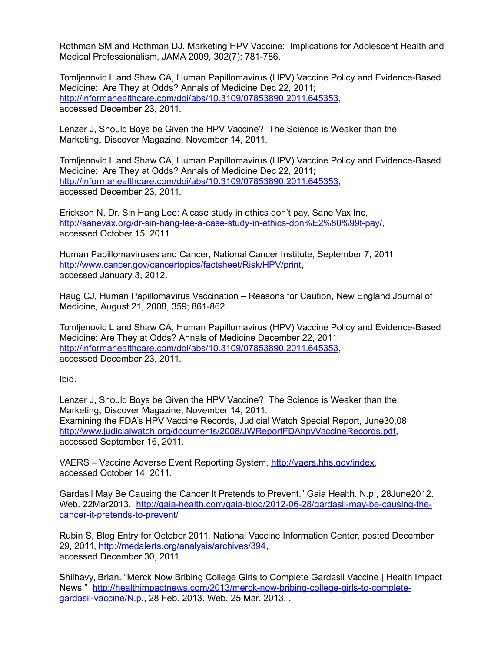Rothman SM and Rothman DJ, Marketing HPV Vaccine: Implications for Adolescent Health and Medical Professionalism, JAMA 2009, 302(7); 781-786.

Tomljenovic L and Shaw CA, Human Papillomavirus (HPV) Vaccine Policy and Evidence-Based Medicine: Are They at Odds? Annals of Medicine Dec 22, 2011; [http://informahealthcare.com/doi/abs/10.3109/07853890.2011.645353,](http://informahealthcare.com/doi/abs/10.3109/07853890.2011.645353) accessed December 23, 2011.

Lenzer J, Should Boys be Given the HPV Vaccine? The Science is Weaker than the Marketing, Discover Magazine, November 14, 2011.

Tomljenovic L and Shaw CA, Human Papillomavirus (HPV) Vaccine Policy and Evidence-Based Medicine: Are They at Odds? Annals of Medicine Dec 22, 2011; [http://informahealthcare.com/doi/abs/10.3109/07853890.2011.645353,](http://informahealthcare.com/doi/abs/10.3109/07853890.2011.645353) accessed December 23, 2011.

Erickson N, Dr. Sin Hang Lee: A case study in ethics don't pay, Sane Vax Inc, [http://sanevax.org/dr-sin-hang-lee-a-case-study-in-ethics-don%E2%80%99t-pay/,](http://sanevax.org/dr-sin-hang-lee-a-case-study-in-ethics-don%E2%80%99t-pay/) accessed October 15, 2011.

Human Papillomaviruses and Cancer, National Cancer Institute, September 7, 2011 [http://www.cancer.gov/cancertopics/factsheet/Risk/HPV/print,](http://www.cancer.gov/cancertopics/factsheet/Risk/HPV/print) accessed January 3, 2012.

Haug CJ, Human Papillomavirus Vaccination – Reasons for Caution, New England Journal of Medicine, August 21, 2008, 359; 861-862.

Tomljenovic L and Shaw CA, Human Papillomavirus (HPV) Vaccine Policy and Evidence-Based Medicine: Are They at Odds? Annals of Medicine December 22, 2011; [http://informahealthcare.com/doi/abs/10.3109/07853890.2011.645353,](http://informahealthcare.com/doi/abs/10.3109/07853890.2011.645353) accessed December 23, 2011.

Ibid.

Lenzer J, Should Boys be Given the HPV Vaccine? The Science is Weaker than the Marketing, Discover Magazine, November 14, 2011. Examining the FDA's HPV Vaccine Records, Judicial Watch Special Report, June30,08 [http://www.judicialwatch.org/documents/2008/JWReportFDAhpvVaccineRecords.pdf,](http://www.judicialwatch.org/documents/2008/JWReportFDAhpvVaccineRecords.pdf) accessed September 16, 2011.

VAERS – Vaccine Adverse Event Reporting System. [http://vaers.hhs.gov/index,](http://vaers.hhs.gov/index) accessed October 14, 2011.

Gardasil May Be Causing the Cancer It Pretends to Prevent." Gaia Health. N.p., 28June2012. Web. 22Mar2013. [http://gaia-health.com/gaia-blog/2012-06-28/gardasil-may-be-causing-the](http://gaia-health.com/gaia-blog/2012-06-28/gardasil-may-be-causing-the-cancer-it-pretends-to-prevent/)[cancer-it-pretends-to-prevent/](http://gaia-health.com/gaia-blog/2012-06-28/gardasil-may-be-causing-the-cancer-it-pretends-to-prevent/)

Rubin S, Blog Entry for October 2011, National Vaccine Information Center, posted December 29, 2011, [http://medalerts.org/analysis/archives/394,](http://medalerts.org/analysis/archives/394) accessed December 30, 2011.

Shilhavy, Brian. "Merck Now Bribing College Girls to Complete Gardasil Vaccine | Health Impact News." [http://healthimpactnews.com/2013/merck-now-bribing-college-girls-to-complete](http://healthimpactnews.com/2013/merck-now-bribing-college-girls-to-complete-gardasil-vaccine/N.p)[gardasil-vaccine/N.p.](http://healthimpactnews.com/2013/merck-now-bribing-college-girls-to-complete-gardasil-vaccine/N.p), 28 Feb. 2013. Web. 25 Mar. 2013. .